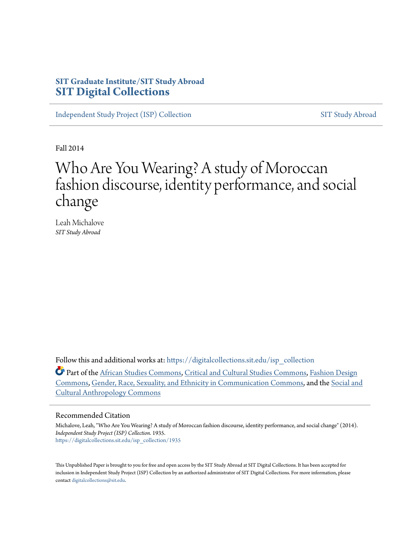### **SIT Graduate Institute/SIT Study Abroad [SIT Digital Collections](https://digitalcollections.sit.edu?utm_source=digitalcollections.sit.edu%2Fisp_collection%2F1935&utm_medium=PDF&utm_campaign=PDFCoverPages)**

[Independent Study Project \(ISP\) Collection](https://digitalcollections.sit.edu/isp_collection?utm_source=digitalcollections.sit.edu%2Fisp_collection%2F1935&utm_medium=PDF&utm_campaign=PDFCoverPages) [SIT Study Abroad](https://digitalcollections.sit.edu/study_abroad?utm_source=digitalcollections.sit.edu%2Fisp_collection%2F1935&utm_medium=PDF&utm_campaign=PDFCoverPages)

Fall 2014

# Who Are You Wearing? A study of Moroccan fashion discourse, identity performance, and social change

Leah Michalove *SIT Study Abroad*

Follow this and additional works at: [https://digitalcollections.sit.edu/isp\\_collection](https://digitalcollections.sit.edu/isp_collection?utm_source=digitalcollections.sit.edu%2Fisp_collection%2F1935&utm_medium=PDF&utm_campaign=PDFCoverPages)

Part of the [African Studies Commons](http://network.bepress.com/hgg/discipline/1043?utm_source=digitalcollections.sit.edu%2Fisp_collection%2F1935&utm_medium=PDF&utm_campaign=PDFCoverPages), [Critical and Cultural Studies Commons,](http://network.bepress.com/hgg/discipline/328?utm_source=digitalcollections.sit.edu%2Fisp_collection%2F1935&utm_medium=PDF&utm_campaign=PDFCoverPages) [Fashion Design](http://network.bepress.com/hgg/discipline/1132?utm_source=digitalcollections.sit.edu%2Fisp_collection%2F1935&utm_medium=PDF&utm_campaign=PDFCoverPages) [Commons,](http://network.bepress.com/hgg/discipline/1132?utm_source=digitalcollections.sit.edu%2Fisp_collection%2F1935&utm_medium=PDF&utm_campaign=PDFCoverPages) [Gender, Race, Sexuality, and Ethnicity in Communication Commons](http://network.bepress.com/hgg/discipline/329?utm_source=digitalcollections.sit.edu%2Fisp_collection%2F1935&utm_medium=PDF&utm_campaign=PDFCoverPages), and the [Social and](http://network.bepress.com/hgg/discipline/323?utm_source=digitalcollections.sit.edu%2Fisp_collection%2F1935&utm_medium=PDF&utm_campaign=PDFCoverPages) [Cultural Anthropology Commons](http://network.bepress.com/hgg/discipline/323?utm_source=digitalcollections.sit.edu%2Fisp_collection%2F1935&utm_medium=PDF&utm_campaign=PDFCoverPages)

#### Recommended Citation

Michalove, Leah, "Who Are You Wearing? A study of Moroccan fashion discourse, identity performance, and social change" (2014). *Independent Study Project (ISP) Collection*. 1935. [https://digitalcollections.sit.edu/isp\\_collection/1935](https://digitalcollections.sit.edu/isp_collection/1935?utm_source=digitalcollections.sit.edu%2Fisp_collection%2F1935&utm_medium=PDF&utm_campaign=PDFCoverPages)

This Unpublished Paper is brought to you for free and open access by the SIT Study Abroad at SIT Digital Collections. It has been accepted for inclusion in Independent Study Project (ISP) Collection by an authorized administrator of SIT Digital Collections. For more information, please contact [digitalcollections@sit.edu](mailto:digitalcollections@sit.edu).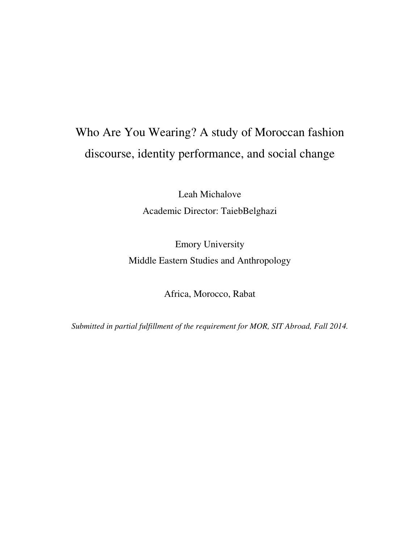# Who Are You Wearing? A study of Moroccan fashion discourse, identity performance, and social change

Leah Michalove Academic Director: TaiebBelghazi

Emory University Middle Eastern Studies and Anthropology

Africa, Morocco, Rabat

*Submitted in partial fulfillment of the requirement for MOR, SIT Abroad, Fall 2014.*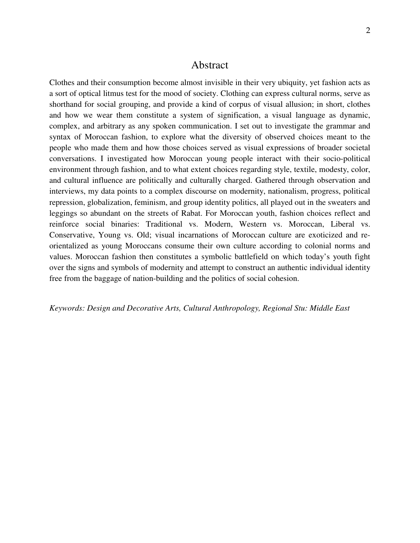#### Abstract

Clothes and their consumption become almost invisible in their very ubiquity, yet fashion acts as a sort of optical litmus test for the mood of society. Clothing can express cultural norms, serve as shorthand for social grouping, and provide a kind of corpus of visual allusion; in short, clothes and how we wear them constitute a system of signification, a visual language as dynamic, complex, and arbitrary as any spoken communication. I set out to investigate the grammar and syntax of Moroccan fashion, to explore what the diversity of observed choices meant to the people who made them and how those choices served as visual expressions of broader societal conversations. I investigated how Moroccan young people interact with their socio-political environment through fashion, and to what extent choices regarding style, textile, modesty, color, and cultural influence are politically and culturally charged. Gathered through observation and interviews, my data points to a complex discourse on modernity, nationalism, progress, political repression, globalization, feminism, and group identity politics, all played out in the sweaters and leggings so abundant on the streets of Rabat. For Moroccan youth, fashion choices reflect and reinforce social binaries: Traditional vs. Modern, Western vs. Moroccan, Liberal vs. Conservative, Young vs. Old; visual incarnations of Moroccan culture are exoticized and reorientalized as young Moroccans consume their own culture according to colonial norms and values. Moroccan fashion then constitutes a symbolic battlefield on which today's youth fight over the signs and symbols of modernity and attempt to construct an authentic individual identity free from the baggage of nation-building and the politics of social cohesion.

*Keywords: Design and Decorative Arts, Cultural Anthropology, Regional Stu: Middle East*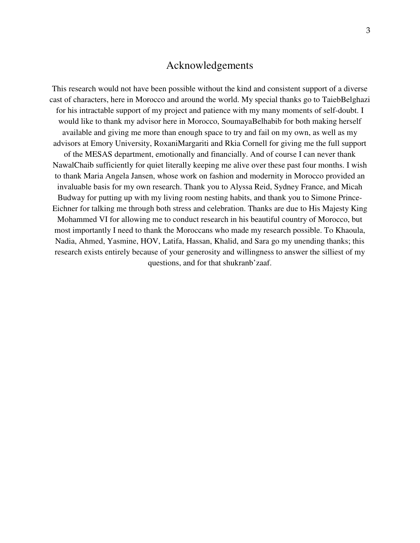#### Acknowledgements

This research would not have been possible without the kind and consistent support of a diverse cast of characters, here in Morocco and around the world. My special thanks go to TaiebBelghazi for his intractable support of my project and patience with my many moments of self-doubt. I would like to thank my advisor here in Morocco, SoumayaBelhabib for both making herself available and giving me more than enough space to try and fail on my own, as well as my advisors at Emory University, RoxaniMargariti and Rkia Cornell for giving me the full support of the MESAS department, emotionally and financially. And of course I can never thank NawalChaib sufficiently for quiet literally keeping me alive over these past four months. I wish to thank Maria Angela Jansen, whose work on fashion and modernity in Morocco provided an invaluable basis for my own research. Thank you to Alyssa Reid, Sydney France, and Micah Budway for putting up with my living room nesting habits, and thank you to Simone Prince-Eichner for talking me through both stress and celebration. Thanks are due to His Majesty King Mohammed VI for allowing me to conduct research in his beautiful country of Morocco, but most importantly I need to thank the Moroccans who made my research possible. To Khaoula, Nadia, Ahmed, Yasmine, HOV, Latifa, Hassan, Khalid, and Sara go my unending thanks; this research exists entirely because of your generosity and willingness to answer the silliest of my questions, and for that shukranb'zaaf.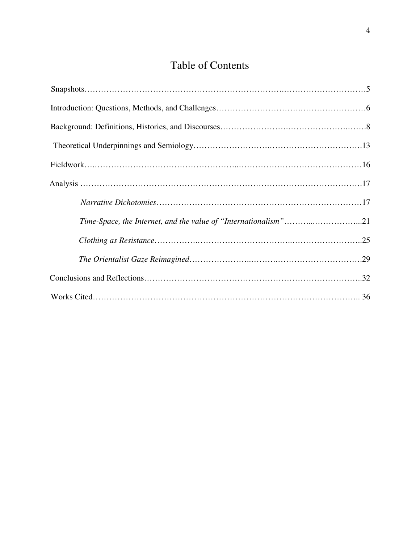# Table of Contents

| Time-Space, the Internet, and the value of "Internationalism"21 |
|-----------------------------------------------------------------|
|                                                                 |
|                                                                 |
|                                                                 |
|                                                                 |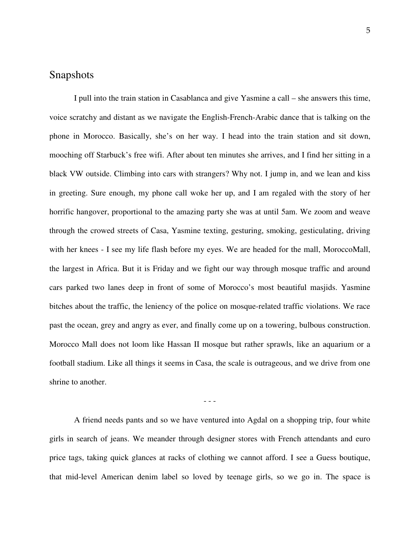#### Snapshots

I pull into the train station in Casablanca and give Yasmine a call – she answers this time, voice scratchy and distant as we navigate the English-French-Arabic dance that is talking on the phone in Morocco. Basically, she's on her way. I head into the train station and sit down, mooching off Starbuck's free wifi. After about ten minutes she arrives, and I find her sitting in a black VW outside. Climbing into cars with strangers? Why not. I jump in, and we lean and kiss in greeting. Sure enough, my phone call woke her up, and I am regaled with the story of her horrific hangover, proportional to the amazing party she was at until 5am. We zoom and weave through the crowed streets of Casa, Yasmine texting, gesturing, smoking, gesticulating, driving with her knees - I see my life flash before my eyes. We are headed for the mall, MoroccoMall, the largest in Africa. But it is Friday and we fight our way through mosque traffic and around cars parked two lanes deep in front of some of Morocco's most beautiful masjids. Yasmine bitches about the traffic, the leniency of the police on mosque-related traffic violations. We race past the ocean, grey and angry as ever, and finally come up on a towering, bulbous construction. Morocco Mall does not loom like Hassan II mosque but rather sprawls, like an aquarium or a football stadium. Like all things it seems in Casa, the scale is outrageous, and we drive from one shrine to another.

- - -

A friend needs pants and so we have ventured into Agdal on a shopping trip, four white girls in search of jeans. We meander through designer stores with French attendants and euro price tags, taking quick glances at racks of clothing we cannot afford. I see a Guess boutique, that mid-level American denim label so loved by teenage girls, so we go in. The space is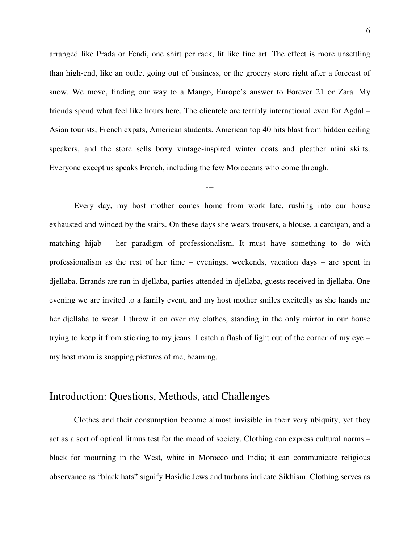arranged like Prada or Fendi, one shirt per rack, lit like fine art. The effect is more unsettling than high-end, like an outlet going out of business, or the grocery store right after a forecast of snow. We move, finding our way to a Mango, Europe's answer to Forever 21 or Zara. My friends spend what feel like hours here. The clientele are terribly international even for Agdal – Asian tourists, French expats, American students. American top 40 hits blast from hidden ceiling speakers, and the store sells boxy vintage-inspired winter coats and pleather mini skirts. Everyone except us speaks French, including the few Moroccans who come through.

---

Every day, my host mother comes home from work late, rushing into our house exhausted and winded by the stairs. On these days she wears trousers, a blouse, a cardigan, and a matching hijab – her paradigm of professionalism. It must have something to do with professionalism as the rest of her time – evenings, weekends, vacation days – are spent in djellaba. Errands are run in djellaba, parties attended in djellaba, guests received in djellaba. One evening we are invited to a family event, and my host mother smiles excitedly as she hands me her djellaba to wear. I throw it on over my clothes, standing in the only mirror in our house trying to keep it from sticking to my jeans. I catch a flash of light out of the corner of my eye – my host mom is snapping pictures of me, beaming.

# Introduction: Questions, Methods, and Challenges

Clothes and their consumption become almost invisible in their very ubiquity, yet they act as a sort of optical litmus test for the mood of society. Clothing can express cultural norms – black for mourning in the West, white in Morocco and India; it can communicate religious observance as "black hats" signify Hasidic Jews and turbans indicate Sikhism. Clothing serves as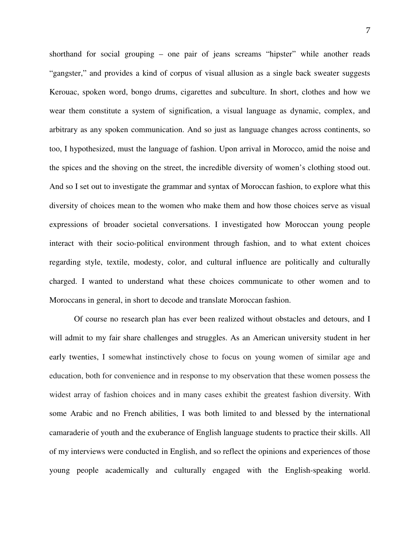shorthand for social grouping – one pair of jeans screams "hipster" while another reads "gangster," and provides a kind of corpus of visual allusion as a single back sweater suggests Kerouac, spoken word, bongo drums, cigarettes and subculture. In short, clothes and how we wear them constitute a system of signification, a visual language as dynamic, complex, and arbitrary as any spoken communication. And so just as language changes across continents, so too, I hypothesized, must the language of fashion. Upon arrival in Morocco, amid the noise and the spices and the shoving on the street, the incredible diversity of women's clothing stood out. And so I set out to investigate the grammar and syntax of Moroccan fashion, to explore what this diversity of choices mean to the women who make them and how those choices serve as visual expressions of broader societal conversations. I investigated how Moroccan young people interact with their socio-political environment through fashion, and to what extent choices regarding style, textile, modesty, color, and cultural influence are politically and culturally charged. I wanted to understand what these choices communicate to other women and to Moroccans in general, in short to decode and translate Moroccan fashion.

Of course no research plan has ever been realized without obstacles and detours, and I will admit to my fair share challenges and struggles. As an American university student in her early twenties, I somewhat instinctively chose to focus on young women of similar age and education, both for convenience and in response to my observation that these women possess the widest array of fashion choices and in many cases exhibit the greatest fashion diversity. With some Arabic and no French abilities, I was both limited to and blessed by the international camaraderie of youth and the exuberance of English language students to practice their skills. All of my interviews were conducted in English, and so reflect the opinions and experiences of those young people academically and culturally engaged with the English-speaking world.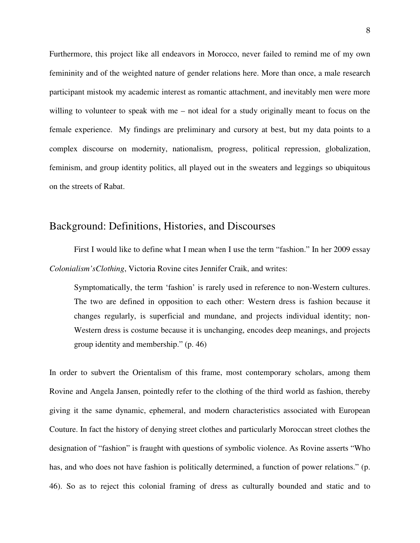Furthermore, this project like all endeavors in Morocco, never failed to remind me of my own femininity and of the weighted nature of gender relations here. More than once, a male research participant mistook my academic interest as romantic attachment, and inevitably men were more willing to volunteer to speak with me – not ideal for a study originally meant to focus on the female experience. My findings are preliminary and cursory at best, but my data points to a complex discourse on modernity, nationalism, progress, political repression, globalization, feminism, and group identity politics, all played out in the sweaters and leggings so ubiquitous on the streets of Rabat.

#### Background: Definitions, Histories, and Discourses

 First I would like to define what I mean when I use the term "fashion." In her 2009 essay *Colonialism'sClothing*, Victoria Rovine cites Jennifer Craik, and writes:

Symptomatically, the term 'fashion' is rarely used in reference to non-Western cultures. The two are defined in opposition to each other: Western dress is fashion because it changes regularly, is superficial and mundane, and projects individual identity; non-Western dress is costume because it is unchanging, encodes deep meanings, and projects group identity and membership." (p. 46)

In order to subvert the Orientalism of this frame, most contemporary scholars, among them Rovine and Angela Jansen, pointedly refer to the clothing of the third world as fashion, thereby giving it the same dynamic, ephemeral, and modern characteristics associated with European Couture. In fact the history of denying street clothes and particularly Moroccan street clothes the designation of "fashion" is fraught with questions of symbolic violence. As Rovine asserts "Who has, and who does not have fashion is politically determined, a function of power relations." (p. 46). So as to reject this colonial framing of dress as culturally bounded and static and to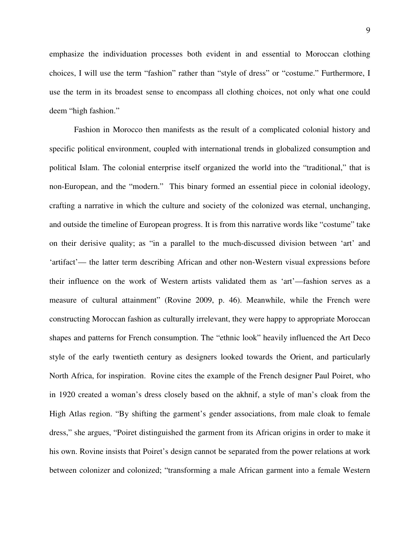emphasize the individuation processes both evident in and essential to Moroccan clothing choices, I will use the term "fashion" rather than "style of dress" or "costume." Furthermore, I use the term in its broadest sense to encompass all clothing choices, not only what one could deem "high fashion."

 Fashion in Morocco then manifests as the result of a complicated colonial history and specific political environment, coupled with international trends in globalized consumption and political Islam. The colonial enterprise itself organized the world into the "traditional," that is non-European, and the "modern." This binary formed an essential piece in colonial ideology, crafting a narrative in which the culture and society of the colonized was eternal, unchanging, and outside the timeline of European progress. It is from this narrative words like "costume" take on their derisive quality; as "in a parallel to the much-discussed division between 'art' and 'artifact'— the latter term describing African and other non-Western visual expressions before their influence on the work of Western artists validated them as 'art'—fashion serves as a measure of cultural attainment" (Rovine 2009, p. 46). Meanwhile, while the French were constructing Moroccan fashion as culturally irrelevant, they were happy to appropriate Moroccan shapes and patterns for French consumption. The "ethnic look" heavily influenced the Art Deco style of the early twentieth century as designers looked towards the Orient, and particularly North Africa, for inspiration. Rovine cites the example of the French designer Paul Poiret, who in 1920 created a woman's dress closely based on the akhnif, a style of man's cloak from the High Atlas region. "By shifting the garment's gender associations, from male cloak to female dress," she argues, "Poiret distinguished the garment from its African origins in order to make it his own. Rovine insists that Poiret's design cannot be separated from the power relations at work between colonizer and colonized; "transforming a male African garment into a female Western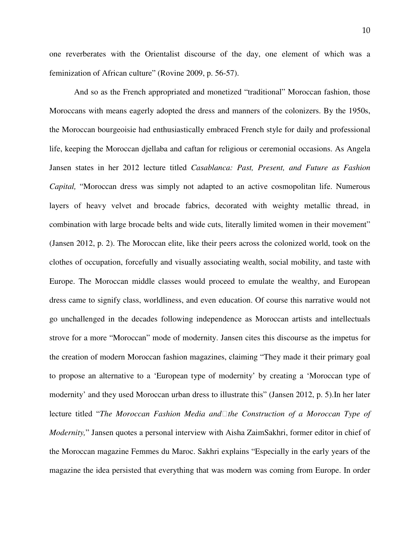one reverberates with the Orientalist discourse of the day, one element of which was a feminization of African culture" (Rovine 2009, p. 56-57).

 And so as the French appropriated and monetized "traditional" Moroccan fashion, those Moroccans with means eagerly adopted the dress and manners of the colonizers. By the 1950s, the Moroccan bourgeoisie had enthusiastically embraced French style for daily and professional life, keeping the Moroccan djellaba and caftan for religious or ceremonial occasions. As Angela Jansen states in her 2012 lecture titled *Casablanca: Past, Present, and Future as Fashion Capital,* "Moroccan dress was simply not adapted to an active cosmopolitan life. Numerous layers of heavy velvet and brocade fabrics, decorated with weighty metallic thread, in combination with large brocade belts and wide cuts, literally limited women in their movement" (Jansen 2012, p. 2). The Moroccan elite, like their peers across the colonized world, took on the clothes of occupation, forcefully and visually associating wealth, social mobility, and taste with Europe. The Moroccan middle classes would proceed to emulate the wealthy, and European dress came to signify class, worldliness, and even education. Of course this narrative would not go unchallenged in the decades following independence as Moroccan artists and intellectuals strove for a more "Moroccan" mode of modernity. Jansen cites this discourse as the impetus for the creation of modern Moroccan fashion magazines, claiming "They made it their primary goal to propose an alternative to a 'European type of modernity' by creating a 'Moroccan type of modernity' and they used Moroccan urban dress to illustrate this" (Jansen 2012, p. 5).In her later lecture titled "*The Moroccan Fashion Media andthe Construction of a Moroccan Type of Modernity,*" Jansen quotes a personal interview with Aisha ZaimSakhri, former editor in chief of the Moroccan magazine Femmes du Maroc. Sakhri explains "Especially in the early years of the magazine the idea persisted that everything that was modern was coming from Europe. In order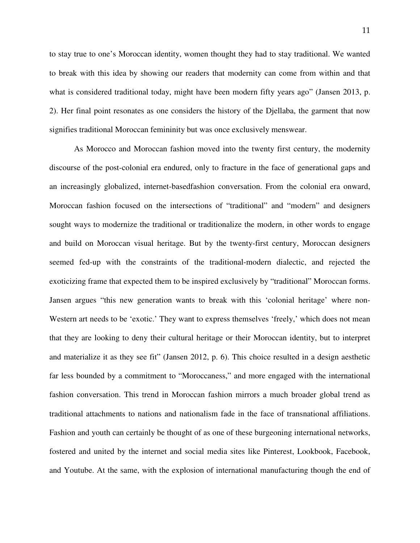to stay true to one's Moroccan identity, women thought they had to stay traditional. We wanted to break with this idea by showing our readers that modernity can come from within and that what is considered traditional today, might have been modern fifty years ago" (Jansen 2013, p. 2). Her final point resonates as one considers the history of the Djellaba, the garment that now signifies traditional Moroccan femininity but was once exclusively menswear.

 As Morocco and Moroccan fashion moved into the twenty first century, the modernity discourse of the post-colonial era endured, only to fracture in the face of generational gaps and an increasingly globalized, internet-basedfashion conversation. From the colonial era onward, Moroccan fashion focused on the intersections of "traditional" and "modern" and designers sought ways to modernize the traditional or traditionalize the modern, in other words to engage and build on Moroccan visual heritage. But by the twenty-first century, Moroccan designers seemed fed-up with the constraints of the traditional-modern dialectic, and rejected the exoticizing frame that expected them to be inspired exclusively by "traditional" Moroccan forms. Jansen argues "this new generation wants to break with this 'colonial heritage' where non-Western art needs to be 'exotic.' They want to express themselves 'freely,' which does not mean that they are looking to deny their cultural heritage or their Moroccan identity, but to interpret and materialize it as they see fit" (Jansen 2012, p. 6). This choice resulted in a design aesthetic far less bounded by a commitment to "Moroccaness," and more engaged with the international fashion conversation. This trend in Moroccan fashion mirrors a much broader global trend as traditional attachments to nations and nationalism fade in the face of transnational affiliations. Fashion and youth can certainly be thought of as one of these burgeoning international networks, fostered and united by the internet and social media sites like Pinterest, Lookbook, Facebook, and Youtube. At the same, with the explosion of international manufacturing though the end of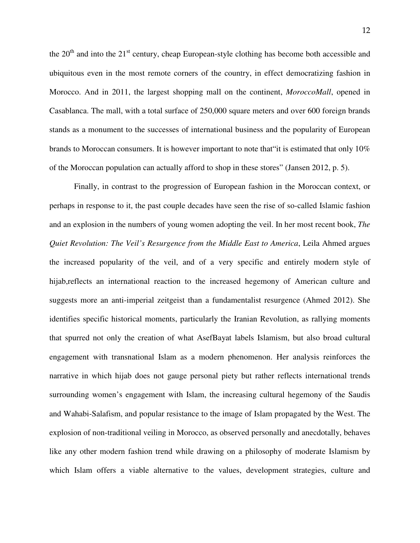the  $20<sup>th</sup>$  and into the  $21<sup>st</sup>$  century, cheap European-style clothing has become both accessible and ubiquitous even in the most remote corners of the country, in effect democratizing fashion in Morocco. And in 2011, the largest shopping mall on the continent, *MoroccoMall*, opened in Casablanca. The mall, with a total surface of 250,000 square meters and over 600 foreign brands stands as a monument to the successes of international business and the popularity of European brands to Moroccan consumers. It is however important to note that "it is estimated that only  $10\%$ of the Moroccan population can actually afford to shop in these stores" (Jansen 2012, p. 5).

 Finally, in contrast to the progression of European fashion in the Moroccan context, or perhaps in response to it, the past couple decades have seen the rise of so-called Islamic fashion and an explosion in the numbers of young women adopting the veil. In her most recent book, *The Quiet Revolution: The Veil's Resurgence from the Middle East to America*, Leila Ahmed argues the increased popularity of the veil, and of a very specific and entirely modern style of hijab,reflects an international reaction to the increased hegemony of American culture and suggests more an anti-imperial zeitgeist than a fundamentalist resurgence (Ahmed 2012). She identifies specific historical moments, particularly the Iranian Revolution, as rallying moments that spurred not only the creation of what AsefBayat labels Islamism, but also broad cultural engagement with transnational Islam as a modern phenomenon. Her analysis reinforces the narrative in which hijab does not gauge personal piety but rather reflects international trends surrounding women's engagement with Islam, the increasing cultural hegemony of the Saudis and Wahabi-Salafism, and popular resistance to the image of Islam propagated by the West. The explosion of non-traditional veiling in Morocco, as observed personally and anecdotally, behaves like any other modern fashion trend while drawing on a philosophy of moderate Islamism by which Islam offers a viable alternative to the values, development strategies, culture and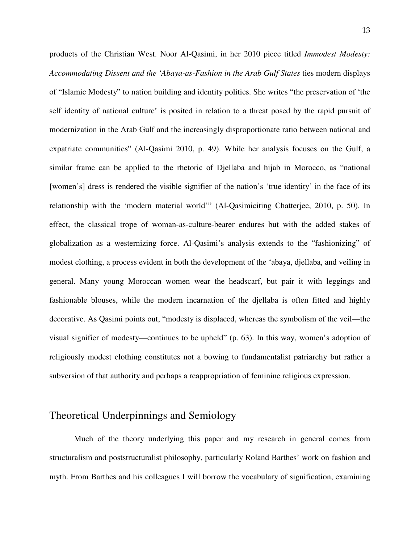products of the Christian West. Noor Al-Qasimi, in her 2010 piece titled *Immodest Modesty: Accommodating Dissent and the 'Abaya-as-Fashion in the Arab Gulf States* ties modern displays of "Islamic Modesty" to nation building and identity politics. She writes "the preservation of 'the self identity of national culture' is posited in relation to a threat posed by the rapid pursuit of modernization in the Arab Gulf and the increasingly disproportionate ratio between national and expatriate communities" (Al-Qasimi 2010, p. 49). While her analysis focuses on the Gulf, a similar frame can be applied to the rhetoric of Djellaba and hijab in Morocco, as "national [women's] dress is rendered the visible signifier of the nation's 'true identity' in the face of its relationship with the 'modern material world'" (Al-Qasimiciting Chatterjee, 2010, p. 50). In effect, the classical trope of woman-as-culture-bearer endures but with the added stakes of globalization as a westernizing force. Al-Qasimi's analysis extends to the "fashionizing" of modest clothing, a process evident in both the development of the 'abaya, djellaba, and veiling in general. Many young Moroccan women wear the headscarf, but pair it with leggings and fashionable blouses, while the modern incarnation of the djellaba is often fitted and highly decorative. As Qasimi points out, "modesty is displaced, whereas the symbolism of the veil—the visual signifier of modesty—continues to be upheld" (p. 63). In this way, women's adoption of religiously modest clothing constitutes not a bowing to fundamentalist patriarchy but rather a subversion of that authority and perhaps a reappropriation of feminine religious expression.

# Theoretical Underpinnings and Semiology

 Much of the theory underlying this paper and my research in general comes from structuralism and poststructuralist philosophy, particularly Roland Barthes' work on fashion and myth. From Barthes and his colleagues I will borrow the vocabulary of signification, examining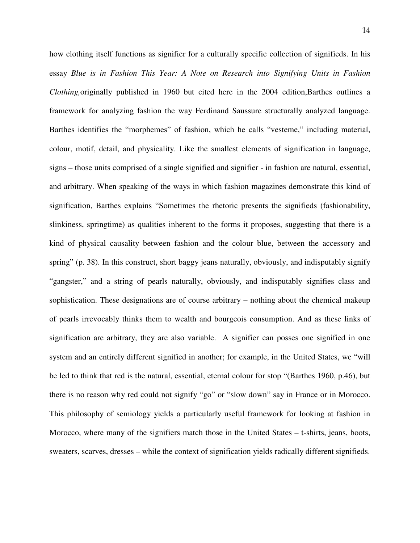how clothing itself functions as signifier for a culturally specific collection of signifieds. In his essay *Blue is in Fashion This Year: A Note on Research into Signifying Units in Fashion Clothing,*originally published in 1960 but cited here in the 2004 edition,Barthes outlines a framework for analyzing fashion the way Ferdinand Saussure structurally analyzed language. Barthes identifies the "morphemes" of fashion, which he calls "vesteme," including material, colour, motif, detail, and physicality. Like the smallest elements of signification in language, signs – those units comprised of a single signified and signifier - in fashion are natural, essential, and arbitrary. When speaking of the ways in which fashion magazines demonstrate this kind of signification, Barthes explains "Sometimes the rhetoric presents the signifieds (fashionability, slinkiness, springtime) as qualities inherent to the forms it proposes, suggesting that there is a kind of physical causality between fashion and the colour blue, between the accessory and spring" (p. 38). In this construct, short baggy jeans naturally, obviously, and indisputably signify "gangster," and a string of pearls naturally, obviously, and indisputably signifies class and sophistication. These designations are of course arbitrary – nothing about the chemical makeup of pearls irrevocably thinks them to wealth and bourgeois consumption. And as these links of signification are arbitrary, they are also variable. A signifier can posses one signified in one system and an entirely different signified in another; for example, in the United States, we "will be led to think that red is the natural, essential, eternal colour for stop "(Barthes 1960, p.46), but there is no reason why red could not signify "go" or "slow down" say in France or in Morocco. This philosophy of semiology yields a particularly useful framework for looking at fashion in Morocco, where many of the signifiers match those in the United States – t-shirts, jeans, boots, sweaters, scarves, dresses – while the context of signification yields radically different signifieds.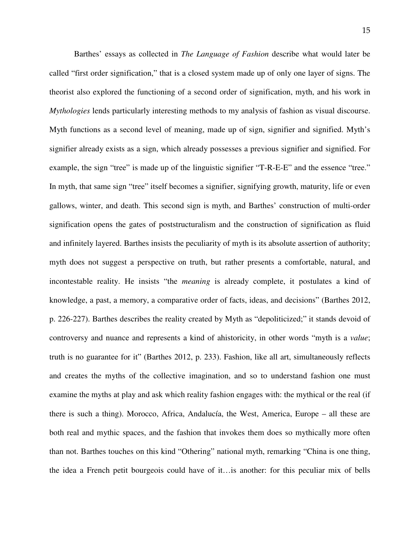Barthes' essays as collected in *The Language of Fashion* describe what would later be called "first order signification," that is a closed system made up of only one layer of signs. The theorist also explored the functioning of a second order of signification, myth, and his work in *Mythologies* lends particularly interesting methods to my analysis of fashion as visual discourse. Myth functions as a second level of meaning, made up of sign, signifier and signified. Myth's signifier already exists as a sign, which already possesses a previous signifier and signified. For example, the sign "tree" is made up of the linguistic signifier "T-R-E-E" and the essence "tree." In myth, that same sign "tree" itself becomes a signifier, signifying growth, maturity, life or even gallows, winter, and death. This second sign is myth, and Barthes' construction of multi-order signification opens the gates of poststructuralism and the construction of signification as fluid and infinitely layered. Barthes insists the peculiarity of myth is its absolute assertion of authority; myth does not suggest a perspective on truth, but rather presents a comfortable, natural, and incontestable reality. He insists "the *meaning* is already complete, it postulates a kind of knowledge, a past, a memory, a comparative order of facts, ideas, and decisions" (Barthes 2012, p. 226-227). Barthes describes the reality created by Myth as "depoliticized;" it stands devoid of controversy and nuance and represents a kind of ahistoricity, in other words "myth is a *value*; truth is no guarantee for it" (Barthes 2012, p. 233). Fashion, like all art, simultaneously reflects and creates the myths of the collective imagination, and so to understand fashion one must examine the myths at play and ask which reality fashion engages with: the mythical or the real (if there is such a thing). Morocco, Africa, Andalucía, the West, America, Europe – all these are both real and mythic spaces, and the fashion that invokes them does so mythically more often than not. Barthes touches on this kind "Othering" national myth, remarking "China is one thing, the idea a French petit bourgeois could have of it…is another: for this peculiar mix of bells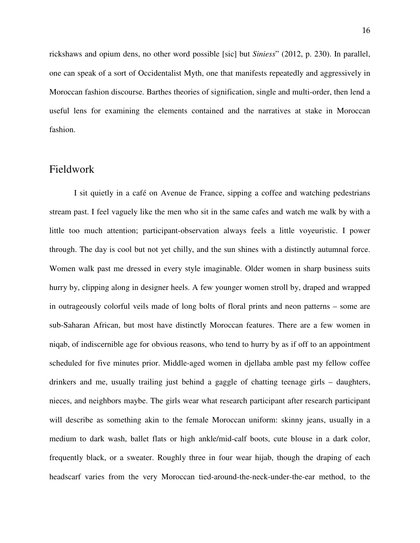rickshaws and opium dens, no other word possible [sic] but *Siniess*" (2012, p. 230). In parallel, one can speak of a sort of Occidentalist Myth, one that manifests repeatedly and aggressively in Moroccan fashion discourse. Barthes theories of signification, single and multi-order, then lend a useful lens for examining the elements contained and the narratives at stake in Moroccan fashion.

#### Fieldwork

I sit quietly in a café on Avenue de France, sipping a coffee and watching pedestrians stream past. I feel vaguely like the men who sit in the same cafes and watch me walk by with a little too much attention; participant-observation always feels a little voyeuristic. I power through. The day is cool but not yet chilly, and the sun shines with a distinctly autumnal force. Women walk past me dressed in every style imaginable. Older women in sharp business suits hurry by, clipping along in designer heels. A few younger women stroll by, draped and wrapped in outrageously colorful veils made of long bolts of floral prints and neon patterns – some are sub-Saharan African, but most have distinctly Moroccan features. There are a few women in niqab, of indiscernible age for obvious reasons, who tend to hurry by as if off to an appointment scheduled for five minutes prior. Middle-aged women in djellaba amble past my fellow coffee drinkers and me, usually trailing just behind a gaggle of chatting teenage girls – daughters, nieces, and neighbors maybe. The girls wear what research participant after research participant will describe as something akin to the female Moroccan uniform: skinny jeans, usually in a medium to dark wash, ballet flats or high ankle/mid-calf boots, cute blouse in a dark color, frequently black, or a sweater. Roughly three in four wear hijab, though the draping of each headscarf varies from the very Moroccan tied-around-the-neck-under-the-ear method, to the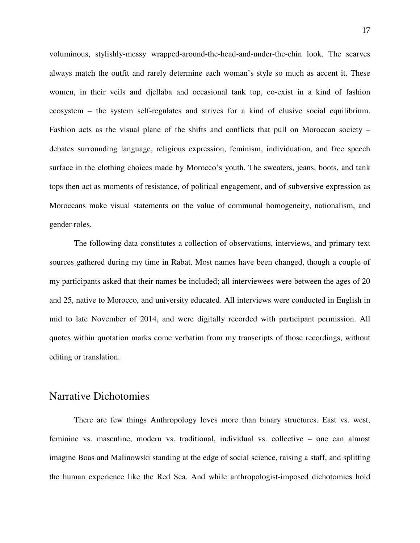voluminous, stylishly-messy wrapped-around-the-head-and-under-the-chin look. The scarves always match the outfit and rarely determine each woman's style so much as accent it. These women, in their veils and djellaba and occasional tank top, co-exist in a kind of fashion ecosystem – the system self-regulates and strives for a kind of elusive social equilibrium. Fashion acts as the visual plane of the shifts and conflicts that pull on Moroccan society – debates surrounding language, religious expression, feminism, individuation, and free speech surface in the clothing choices made by Morocco's youth. The sweaters, jeans, boots, and tank tops then act as moments of resistance, of political engagement, and of subversive expression as Moroccans make visual statements on the value of communal homogeneity, nationalism, and gender roles.

The following data constitutes a collection of observations, interviews, and primary text sources gathered during my time in Rabat. Most names have been changed, though a couple of my participants asked that their names be included; all interviewees were between the ages of 20 and 25, native to Morocco, and university educated. All interviews were conducted in English in mid to late November of 2014, and were digitally recorded with participant permission. All quotes within quotation marks come verbatim from my transcripts of those recordings, without editing or translation.

#### Narrative Dichotomies

There are few things Anthropology loves more than binary structures. East vs. west, feminine vs. masculine, modern vs. traditional, individual vs. collective – one can almost imagine Boas and Malinowski standing at the edge of social science, raising a staff, and splitting the human experience like the Red Sea. And while anthropologist-imposed dichotomies hold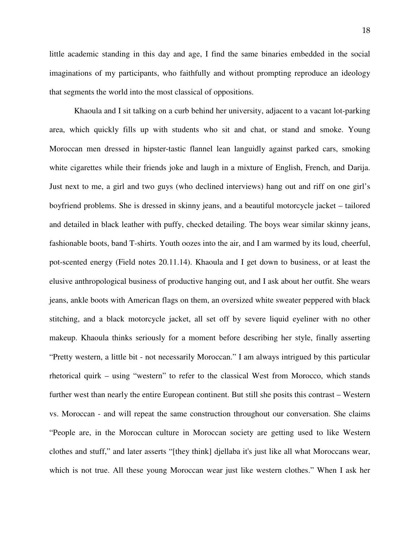little academic standing in this day and age, I find the same binaries embedded in the social imaginations of my participants, who faithfully and without prompting reproduce an ideology that segments the world into the most classical of oppositions.

Khaoula and I sit talking on a curb behind her university, adjacent to a vacant lot-parking area, which quickly fills up with students who sit and chat, or stand and smoke. Young Moroccan men dressed in hipster-tastic flannel lean languidly against parked cars, smoking white cigarettes while their friends joke and laugh in a mixture of English, French, and Darija. Just next to me, a girl and two guys (who declined interviews) hang out and riff on one girl's boyfriend problems. She is dressed in skinny jeans, and a beautiful motorcycle jacket – tailored and detailed in black leather with puffy, checked detailing. The boys wear similar skinny jeans, fashionable boots, band T-shirts. Youth oozes into the air, and I am warmed by its loud, cheerful, pot-scented energy (Field notes 20.11.14). Khaoula and I get down to business, or at least the elusive anthropological business of productive hanging out, and I ask about her outfit. She wears jeans, ankle boots with American flags on them, an oversized white sweater peppered with black stitching, and a black motorcycle jacket, all set off by severe liquid eyeliner with no other makeup. Khaoula thinks seriously for a moment before describing her style, finally asserting "Pretty western, a little bit - not necessarily Moroccan." I am always intrigued by this particular rhetorical quirk – using "western" to refer to the classical West from Morocco, which stands further west than nearly the entire European continent. But still she posits this contrast – Western vs. Moroccan - and will repeat the same construction throughout our conversation. She claims "People are, in the Moroccan culture in Moroccan society are getting used to like Western clothes and stuff," and later asserts "[they think] djellaba it's just like all what Moroccans wear, which is not true. All these young Moroccan wear just like western clothes." When I ask her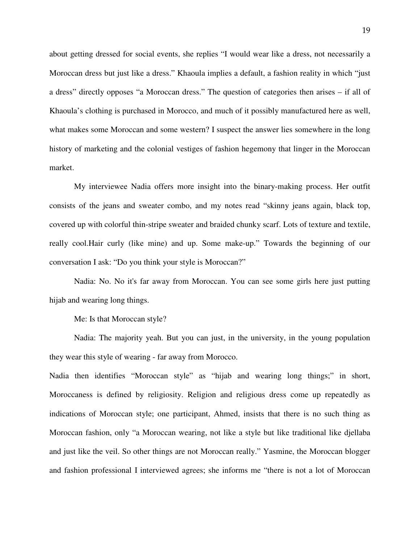about getting dressed for social events, she replies "I would wear like a dress, not necessarily a Moroccan dress but just like a dress." Khaoula implies a default, a fashion reality in which "just a dress" directly opposes "a Moroccan dress." The question of categories then arises – if all of Khaoula's clothing is purchased in Morocco, and much of it possibly manufactured here as well, what makes some Moroccan and some western? I suspect the answer lies somewhere in the long history of marketing and the colonial vestiges of fashion hegemony that linger in the Moroccan market.

My interviewee Nadia offers more insight into the binary-making process. Her outfit consists of the jeans and sweater combo, and my notes read "skinny jeans again, black top, covered up with colorful thin-stripe sweater and braided chunky scarf. Lots of texture and textile, really cool.Hair curly (like mine) and up. Some make-up." Towards the beginning of our conversation I ask: "Do you think your style is Moroccan?"

Nadia: No. No it's far away from Moroccan. You can see some girls here just putting hijab and wearing long things.

Me: Is that Moroccan style?

Nadia: The majority yeah. But you can just, in the university, in the young population they wear this style of wearing - far away from Morocco.

Nadia then identifies "Moroccan style" as "hijab and wearing long things;" in short, Moroccaness is defined by religiosity. Religion and religious dress come up repeatedly as indications of Moroccan style; one participant, Ahmed, insists that there is no such thing as Moroccan fashion, only "a Moroccan wearing, not like a style but like traditional like djellaba and just like the veil. So other things are not Moroccan really." Yasmine, the Moroccan blogger and fashion professional I interviewed agrees; she informs me "there is not a lot of Moroccan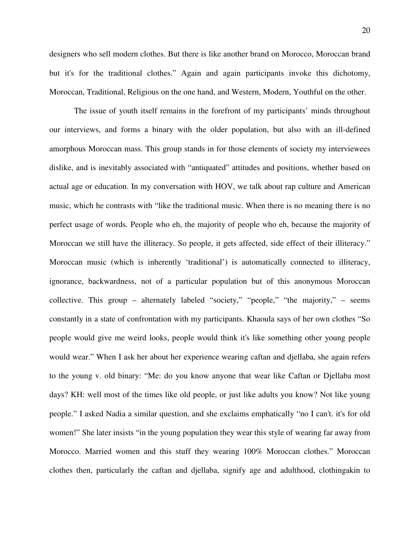designers who sell modern clothes. But there is like another brand on Morocco, Moroccan brand but it's for the traditional clothes." Again and again participants invoke this dichotomy, Moroccan, Traditional, Religious on the one hand, and Western, Modern, Youthful on the other.

 The issue of youth itself remains in the forefront of my participants' minds throughout our interviews, and forms a binary with the older population, but also with an ill-defined amorphous Moroccan mass. This group stands in for those elements of society my interviewees dislike, and is inevitably associated with "antiquated" attitudes and positions, whether based on actual age or education. In my conversation with HOV, we talk about rap culture and American music, which he contrasts with "like the traditional music. When there is no meaning there is no perfect usage of words. People who eh, the majority of people who eh, because the majority of Moroccan we still have the illiteracy. So people, it gets affected, side effect of their illiteracy." Moroccan music (which is inherently 'traditional') is automatically connected to illiteracy, ignorance, backwardness, not of a particular population but of this anonymous Moroccan collective. This group – alternately labeled "society," "people," "the majority," – seems constantly in a state of confrontation with my participants. Khaoula says of her own clothes "So people would give me weird looks, people would think it's like something other young people would wear." When I ask her about her experience wearing caftan and djellaba, she again refers to the young v. old binary: "Me: do you know anyone that wear like Caftan or Djellaba most days? KH: well most of the times like old people, or just like adults you know? Not like young people." I asked Nadia a similar question, and she exclaims emphatically "no I can't. it's for old women!" She later insists "in the young population they wear this style of wearing far away from Morocco. Married women and this stuff they wearing 100% Moroccan clothes." Moroccan clothes then, particularly the caftan and djellaba, signify age and adulthood, clothingakin to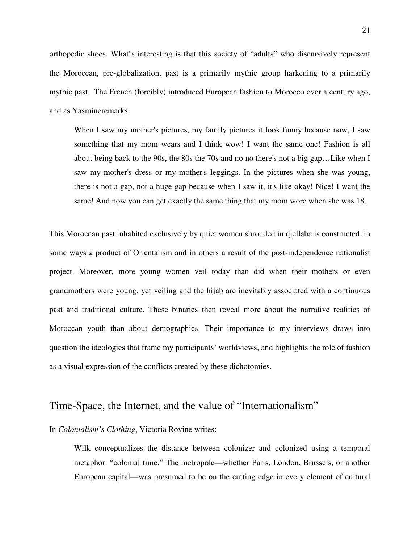orthopedic shoes. What's interesting is that this society of "adults" who discursively represent the Moroccan, pre-globalization, past is a primarily mythic group harkening to a primarily mythic past. The French (forcibly) introduced European fashion to Morocco over a century ago, and as Yasmineremarks:

When I saw my mother's pictures, my family pictures it look funny because now, I saw something that my mom wears and I think wow! I want the same one! Fashion is all about being back to the 90s, the 80s the 70s and no no there's not a big gap…Like when I saw my mother's dress or my mother's leggings. In the pictures when she was young, there is not a gap, not a huge gap because when I saw it, it's like okay! Nice! I want the same! And now you can get exactly the same thing that my mom wore when she was 18.

This Moroccan past inhabited exclusively by quiet women shrouded in djellaba is constructed, in some ways a product of Orientalism and in others a result of the post-independence nationalist project. Moreover, more young women veil today than did when their mothers or even grandmothers were young, yet veiling and the hijab are inevitably associated with a continuous past and traditional culture. These binaries then reveal more about the narrative realities of Moroccan youth than about demographics. Their importance to my interviews draws into question the ideologies that frame my participants' worldviews, and highlights the role of fashion as a visual expression of the conflicts created by these dichotomies.

### Time-Space, the Internet, and the value of "Internationalism"

In *Colonialism's Clothing*, Victoria Rovine writes:

Wilk conceptualizes the distance between colonizer and colonized using a temporal metaphor: "colonial time." The metropole—whether Paris, London, Brussels, or another European capital—was presumed to be on the cutting edge in every element of cultural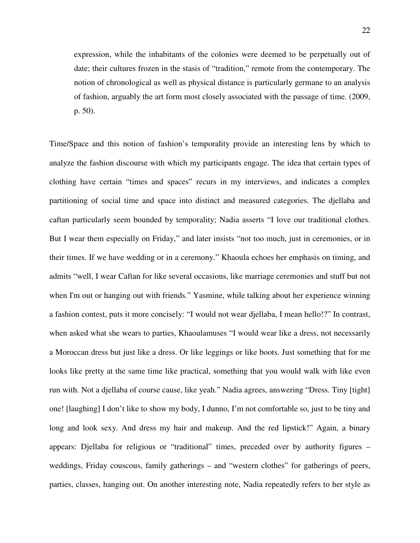expression, while the inhabitants of the colonies were deemed to be perpetually out of date; their cultures frozen in the stasis of "tradition," remote from the contemporary. The notion of chronological as well as physical distance is particularly germane to an analysis of fashion, arguably the art form most closely associated with the passage of time. (2009, p. 50).

Time/Space and this notion of fashion's temporality provide an interesting lens by which to analyze the fashion discourse with which my participants engage. The idea that certain types of clothing have certain "times and spaces" recurs in my interviews, and indicates a complex partitioning of social time and space into distinct and measured categories. The djellaba and caftan particularly seem bounded by temporality; Nadia asserts "I love our traditional clothes. But I wear them especially on Friday," and later insists "not too much, just in ceremonies, or in their times. If we have wedding or in a ceremony." Khaoula echoes her emphasis on timing, and admits "well, I wear Caftan for like several occasions, like marriage ceremonies and stuff but not when I'm out or hanging out with friends." Yasmine, while talking about her experience winning a fashion contest, puts it more concisely: "I would not wear djellaba, I mean hello!?" In contrast, when asked what she wears to parties, Khaoulamuses "I would wear like a dress, not necessarily a Moroccan dress but just like a dress. Or like leggings or like boots. Just something that for me looks like pretty at the same time like practical, something that you would walk with like even run with. Not a djellaba of course cause, like yeah." Nadia agrees, answering "Dress. Tiny [tight] one! [laughing] I don't like to show my body, I dunno, I'm not comfortable so, just to be tiny and long and look sexy. And dress my hair and makeup. And the red lipstick!" Again, a binary appears: Djellaba for religious or "traditional" times, preceded over by authority figures – weddings, Friday couscous, family gatherings – and "western clothes" for gatherings of peers, parties, classes, hanging out. On another interesting note, Nadia repeatedly refers to her style as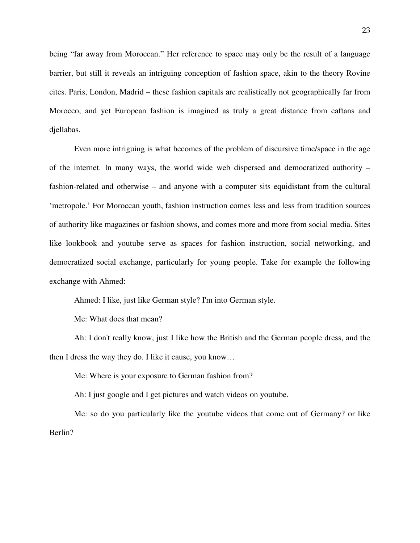being "far away from Moroccan." Her reference to space may only be the result of a language barrier, but still it reveals an intriguing conception of fashion space, akin to the theory Rovine cites. Paris, London, Madrid – these fashion capitals are realistically not geographically far from Morocco, and yet European fashion is imagined as truly a great distance from caftans and djellabas.

 Even more intriguing is what becomes of the problem of discursive time/space in the age of the internet. In many ways, the world wide web dispersed and democratized authority – fashion-related and otherwise – and anyone with a computer sits equidistant from the cultural 'metropole.' For Moroccan youth, fashion instruction comes less and less from tradition sources of authority like magazines or fashion shows, and comes more and more from social media. Sites like lookbook and youtube serve as spaces for fashion instruction, social networking, and democratized social exchange, particularly for young people. Take for example the following exchange with Ahmed:

Ahmed: I like, just like German style? I'm into German style.

Me: What does that mean?

Ah: I don't really know, just I like how the British and the German people dress, and the then I dress the way they do. I like it cause, you know…

Me: Where is your exposure to German fashion from?

Ah: I just google and I get pictures and watch videos on youtube.

Me: so do you particularly like the youtube videos that come out of Germany? or like Berlin?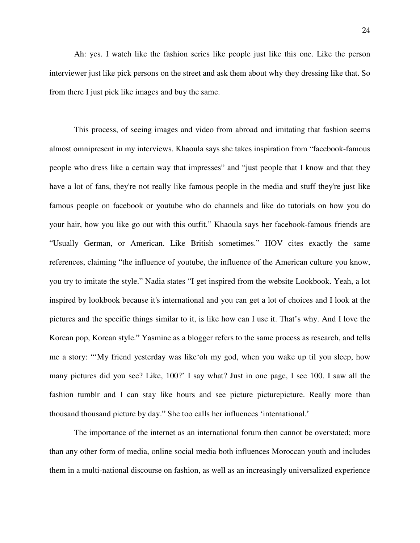Ah: yes. I watch like the fashion series like people just like this one. Like the person interviewer just like pick persons on the street and ask them about why they dressing like that. So from there I just pick like images and buy the same.

This process, of seeing images and video from abroad and imitating that fashion seems almost omnipresent in my interviews. Khaoula says she takes inspiration from "facebook-famous people who dress like a certain way that impresses" and "just people that I know and that they have a lot of fans, they're not really like famous people in the media and stuff they're just like famous people on facebook or youtube who do channels and like do tutorials on how you do your hair, how you like go out with this outfit." Khaoula says her facebook-famous friends are "Usually German, or American. Like British sometimes." HOV cites exactly the same references, claiming "the influence of youtube, the influence of the American culture you know, you try to imitate the style." Nadia states "I get inspired from the website Lookbook. Yeah, a lot inspired by lookbook because it's international and you can get a lot of choices and I look at the pictures and the specific things similar to it, is like how can I use it. That's why. And I love the Korean pop, Korean style." Yasmine as a blogger refers to the same process as research, and tells me a story: "'My friend yesterday was like'oh my god, when you wake up til you sleep, how many pictures did you see? Like, 100?' I say what? Just in one page, I see 100. I saw all the fashion tumblr and I can stay like hours and see picture picture picture e. Really more than thousand thousand picture by day." She too calls her influences 'international.'

The importance of the internet as an international forum then cannot be overstated; more than any other form of media, online social media both influences Moroccan youth and includes them in a multi-national discourse on fashion, as well as an increasingly universalized experience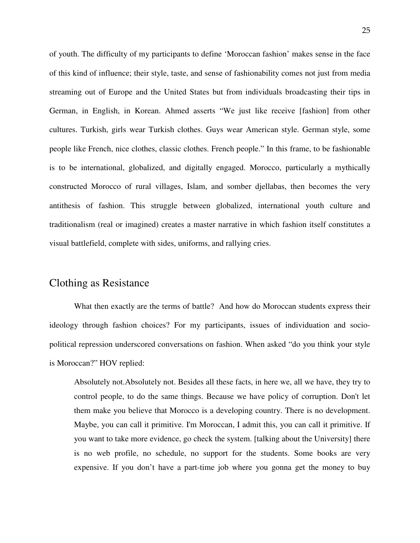of youth. The difficulty of my participants to define 'Moroccan fashion' makes sense in the face of this kind of influence; their style, taste, and sense of fashionability comes not just from media streaming out of Europe and the United States but from individuals broadcasting their tips in German, in English, in Korean. Ahmed asserts "We just like receive [fashion] from other cultures. Turkish, girls wear Turkish clothes. Guys wear American style. German style, some people like French, nice clothes, classic clothes. French people." In this frame, to be fashionable is to be international, globalized, and digitally engaged. Morocco, particularly a mythically constructed Morocco of rural villages, Islam, and somber djellabas, then becomes the very antithesis of fashion. This struggle between globalized, international youth culture and traditionalism (real or imagined) creates a master narrative in which fashion itself constitutes a visual battlefield, complete with sides, uniforms, and rallying cries.

#### Clothing as Resistance

What then exactly are the terms of battle? And how do Moroccan students express their ideology through fashion choices? For my participants, issues of individuation and sociopolitical repression underscored conversations on fashion. When asked "do you think your style is Moroccan?" HOV replied:

Absolutely not.Absolutely not. Besides all these facts, in here we, all we have, they try to control people, to do the same things. Because we have policy of corruption. Don't let them make you believe that Morocco is a developing country. There is no development. Maybe, you can call it primitive. I'm Moroccan, I admit this, you can call it primitive. If you want to take more evidence, go check the system. [talking about the University] there is no web profile, no schedule, no support for the students. Some books are very expensive. If you don't have a part-time job where you gonna get the money to buy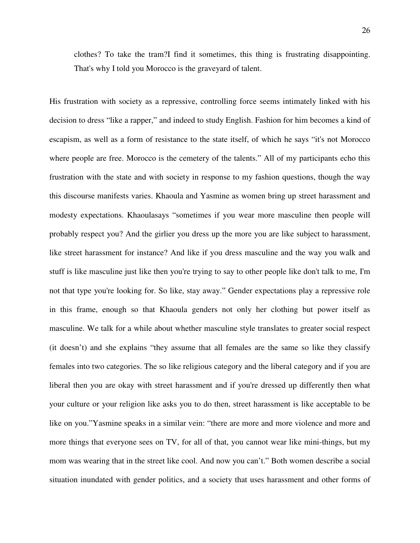clothes? To take the tram?I find it sometimes, this thing is frustrating disappointing. That's why I told you Morocco is the graveyard of talent.

His frustration with society as a repressive, controlling force seems intimately linked with his decision to dress "like a rapper," and indeed to study English. Fashion for him becomes a kind of escapism, as well as a form of resistance to the state itself, of which he says "it's not Morocco where people are free. Morocco is the cemetery of the talents." All of my participants echo this frustration with the state and with society in response to my fashion questions, though the way this discourse manifests varies. Khaoula and Yasmine as women bring up street harassment and modesty expectations. Khaoulasays "sometimes if you wear more masculine then people will probably respect you? And the girlier you dress up the more you are like subject to harassment, like street harassment for instance? And like if you dress masculine and the way you walk and stuff is like masculine just like then you're trying to say to other people like don't talk to me, I'm not that type you're looking for. So like, stay away." Gender expectations play a repressive role in this frame, enough so that Khaoula genders not only her clothing but power itself as masculine. We talk for a while about whether masculine style translates to greater social respect (it doesn't) and she explains "they assume that all females are the same so like they classify females into two categories. The so like religious category and the liberal category and if you are liberal then you are okay with street harassment and if you're dressed up differently then what your culture or your religion like asks you to do then, street harassment is like acceptable to be like on you."Yasmine speaks in a similar vein: "there are more and more violence and more and more things that everyone sees on TV, for all of that, you cannot wear like mini-things, but my mom was wearing that in the street like cool. And now you can't." Both women describe a social situation inundated with gender politics, and a society that uses harassment and other forms of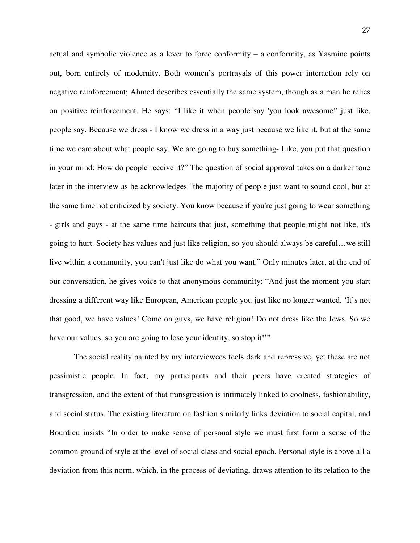actual and symbolic violence as a lever to force conformity – a conformity, as Yasmine points out, born entirely of modernity. Both women's portrayals of this power interaction rely on negative reinforcement; Ahmed describes essentially the same system, though as a man he relies on positive reinforcement. He says: "I like it when people say 'you look awesome!' just like, people say. Because we dress - I know we dress in a way just because we like it, but at the same time we care about what people say. We are going to buy something- Like, you put that question in your mind: How do people receive it?" The question of social approval takes on a darker tone later in the interview as he acknowledges "the majority of people just want to sound cool, but at the same time not criticized by society. You know because if you're just going to wear something - girls and guys - at the same time haircuts that just, something that people might not like, it's going to hurt. Society has values and just like religion, so you should always be careful…we still live within a community, you can't just like do what you want." Only minutes later, at the end of our conversation, he gives voice to that anonymous community: "And just the moment you start dressing a different way like European, American people you just like no longer wanted. 'It's not that good, we have values! Come on guys, we have religion! Do not dress like the Jews. So we have our values, so you are going to lose your identity, so stop it!"

 The social reality painted by my interviewees feels dark and repressive, yet these are not pessimistic people. In fact, my participants and their peers have created strategies of transgression, and the extent of that transgression is intimately linked to coolness, fashionability, and social status. The existing literature on fashion similarly links deviation to social capital, and Bourdieu insists "In order to make sense of personal style we must first form a sense of the common ground of style at the level of social class and social epoch. Personal style is above all a deviation from this norm, which, in the process of deviating, draws attention to its relation to the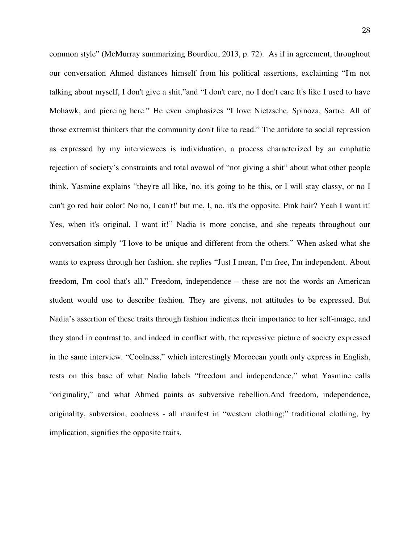common style" (McMurray summarizing Bourdieu, 2013, p. 72). As if in agreement, throughout our conversation Ahmed distances himself from his political assertions, exclaiming "I'm not talking about myself, I don't give a shit,"and "I don't care, no I don't care It's like I used to have Mohawk, and piercing here." He even emphasizes "I love Nietzsche, Spinoza, Sartre. All of those extremist thinkers that the community don't like to read." The antidote to social repression as expressed by my interviewees is individuation, a process characterized by an emphatic rejection of society's constraints and total avowal of "not giving a shit" about what other people think. Yasmine explains "they're all like, 'no, it's going to be this, or I will stay classy, or no I can't go red hair color! No no, I can't!' but me, I, no, it's the opposite. Pink hair? Yeah I want it! Yes, when it's original, I want it!" Nadia is more concise, and she repeats throughout our conversation simply "I love to be unique and different from the others." When asked what she wants to express through her fashion, she replies "Just I mean, I'm free, I'm independent. About freedom, I'm cool that's all." Freedom, independence – these are not the words an American student would use to describe fashion. They are givens, not attitudes to be expressed. But Nadia's assertion of these traits through fashion indicates their importance to her self-image, and they stand in contrast to, and indeed in conflict with, the repressive picture of society expressed in the same interview. "Coolness," which interestingly Moroccan youth only express in English, rests on this base of what Nadia labels "freedom and independence," what Yasmine calls "originality," and what Ahmed paints as subversive rebellion.And freedom, independence, originality, subversion, coolness - all manifest in "western clothing;" traditional clothing, by implication, signifies the opposite traits.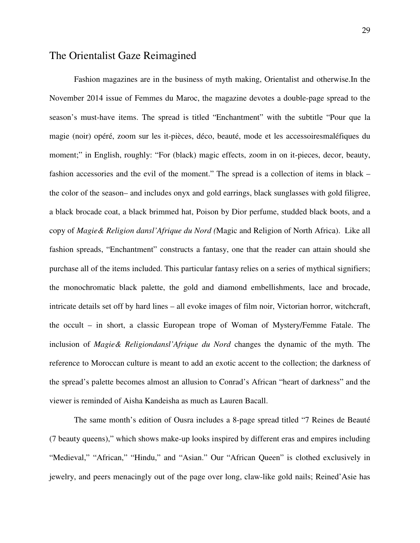#### The Orientalist Gaze Reimagined

Fashion magazines are in the business of myth making, Orientalist and otherwise.In the November 2014 issue of Femmes du Maroc, the magazine devotes a double-page spread to the season's must-have items. The spread is titled "Enchantment" with the subtitle "Pour que la magie (noir) opéré, zoom sur les it-pièces, déco, beauté, mode et les accessoiresmaléfiques du moment;" in English, roughly: "For (black) magic effects, zoom in on it-pieces, decor, beauty, fashion accessories and the evil of the moment." The spread is a collection of items in black – the color of the season– and includes onyx and gold earrings, black sunglasses with gold filigree, a black brocade coat, a black brimmed hat, Poison by Dior perfume, studded black boots, and a copy of *Magie& Religion dansl'Afrique du Nord (*Magic and Religion of North Africa). Like all fashion spreads, "Enchantment" constructs a fantasy, one that the reader can attain should she purchase all of the items included. This particular fantasy relies on a series of mythical signifiers; the monochromatic black palette, the gold and diamond embellishments, lace and brocade, intricate details set off by hard lines – all evoke images of film noir, Victorian horror, witchcraft, the occult – in short, a classic European trope of Woman of Mystery/Femme Fatale. The inclusion of *Magie& Religiondansl'Afrique du Nord* changes the dynamic of the myth. The reference to Moroccan culture is meant to add an exotic accent to the collection; the darkness of the spread's palette becomes almost an allusion to Conrad's African "heart of darkness" and the viewer is reminded of Aisha Kandeisha as much as Lauren Bacall.

The same month's edition of Ousra includes a 8-page spread titled "7 Reines de Beauté (7 beauty queens)," which shows make-up looks inspired by different eras and empires including "Medieval," "African," "Hindu," and "Asian." Our "African Queen" is clothed exclusively in jewelry, and peers menacingly out of the page over long, claw-like gold nails; Reined'Asie has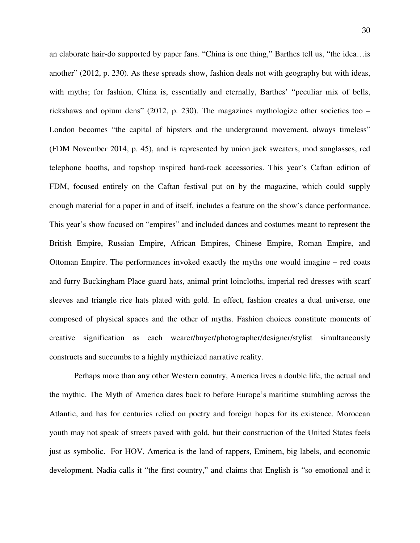an elaborate hair-do supported by paper fans. "China is one thing," Barthes tell us, "the idea…is another" (2012, p. 230). As these spreads show, fashion deals not with geography but with ideas, with myths; for fashion, China is, essentially and eternally, Barthes' "peculiar mix of bells, rickshaws and opium dens" (2012, p. 230). The magazines mythologize other societies too – London becomes "the capital of hipsters and the underground movement, always timeless" (FDM November 2014, p. 45), and is represented by union jack sweaters, mod sunglasses, red telephone booths, and topshop inspired hard-rock accessories. This year's Caftan edition of FDM, focused entirely on the Caftan festival put on by the magazine, which could supply enough material for a paper in and of itself, includes a feature on the show's dance performance. This year's show focused on "empires" and included dances and costumes meant to represent the British Empire, Russian Empire, African Empires, Chinese Empire, Roman Empire, and Ottoman Empire. The performances invoked exactly the myths one would imagine – red coats and furry Buckingham Place guard hats, animal print loincloths, imperial red dresses with scarf sleeves and triangle rice hats plated with gold. In effect, fashion creates a dual universe, one composed of physical spaces and the other of myths. Fashion choices constitute moments of creative signification as each wearer/buyer/photographer/designer/stylist simultaneously constructs and succumbs to a highly mythicized narrative reality.

Perhaps more than any other Western country, America lives a double life, the actual and the mythic. The Myth of America dates back to before Europe's maritime stumbling across the Atlantic, and has for centuries relied on poetry and foreign hopes for its existence. Moroccan youth may not speak of streets paved with gold, but their construction of the United States feels just as symbolic. For HOV, America is the land of rappers, Eminem, big labels, and economic development. Nadia calls it "the first country," and claims that English is "so emotional and it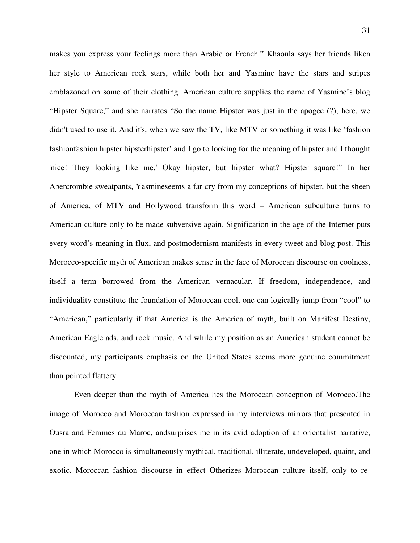makes you express your feelings more than Arabic or French." Khaoula says her friends liken her style to American rock stars, while both her and Yasmine have the stars and stripes emblazoned on some of their clothing. American culture supplies the name of Yasmine's blog "Hipster Square," and she narrates "So the name Hipster was just in the apogee (?), here, we didn't used to use it. And it's, when we saw the TV, like MTV or something it was like 'fashion fashionfashion hipster hipsterhipster' and I go to looking for the meaning of hipster and I thought 'nice! They looking like me.' Okay hipster, but hipster what? Hipster square!" In her Abercrombie sweatpants, Yasmineseems a far cry from my conceptions of hipster, but the sheen of America, of MTV and Hollywood transform this word – American subculture turns to American culture only to be made subversive again. Signification in the age of the Internet puts every word's meaning in flux, and postmodernism manifests in every tweet and blog post. This Morocco-specific myth of American makes sense in the face of Moroccan discourse on coolness, itself a term borrowed from the American vernacular. If freedom, independence, and individuality constitute the foundation of Moroccan cool, one can logically jump from "cool" to "American," particularly if that America is the America of myth, built on Manifest Destiny, American Eagle ads, and rock music. And while my position as an American student cannot be discounted, my participants emphasis on the United States seems more genuine commitment than pointed flattery.

Even deeper than the myth of America lies the Moroccan conception of Morocco.The image of Morocco and Moroccan fashion expressed in my interviews mirrors that presented in Ousra and Femmes du Maroc, andsurprises me in its avid adoption of an orientalist narrative, one in which Morocco is simultaneously mythical, traditional, illiterate, undeveloped, quaint, and exotic. Moroccan fashion discourse in effect Otherizes Moroccan culture itself, only to re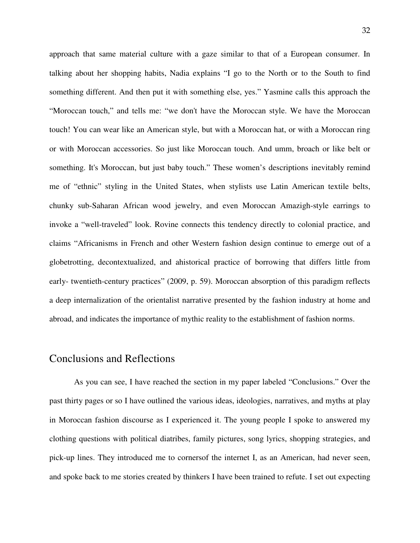approach that same material culture with a gaze similar to that of a European consumer. In talking about her shopping habits, Nadia explains "I go to the North or to the South to find something different. And then put it with something else, yes." Yasmine calls this approach the "Moroccan touch," and tells me: "we don't have the Moroccan style. We have the Moroccan touch! You can wear like an American style, but with a Moroccan hat, or with a Moroccan ring or with Moroccan accessories. So just like Moroccan touch. And umm, broach or like belt or something. It's Moroccan, but just baby touch." These women's descriptions inevitably remind me of "ethnic" styling in the United States, when stylists use Latin American textile belts, chunky sub-Saharan African wood jewelry, and even Moroccan Amazigh-style earrings to invoke a "well-traveled" look. Rovine connects this tendency directly to colonial practice, and claims "Africanisms in French and other Western fashion design continue to emerge out of a globetrotting, decontextualized, and ahistorical practice of borrowing that differs little from early- twentieth-century practices" (2009, p. 59). Moroccan absorption of this paradigm reflects a deep internalization of the orientalist narrative presented by the fashion industry at home and abroad, and indicates the importance of mythic reality to the establishment of fashion norms.

#### Conclusions and Reflections

 As you can see, I have reached the section in my paper labeled "Conclusions." Over the past thirty pages or so I have outlined the various ideas, ideologies, narratives, and myths at play in Moroccan fashion discourse as I experienced it. The young people I spoke to answered my clothing questions with political diatribes, family pictures, song lyrics, shopping strategies, and pick-up lines. They introduced me to cornersof the internet I, as an American, had never seen, and spoke back to me stories created by thinkers I have been trained to refute. I set out expecting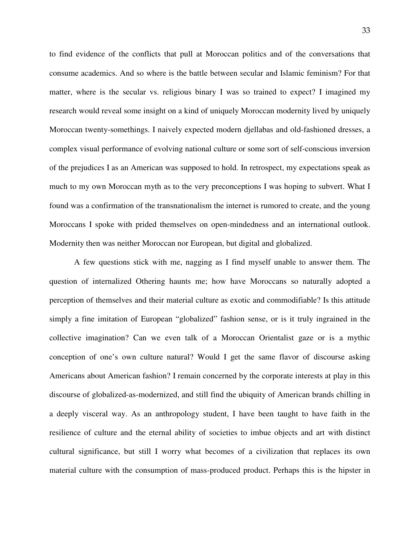to find evidence of the conflicts that pull at Moroccan politics and of the conversations that consume academics. And so where is the battle between secular and Islamic feminism? For that matter, where is the secular vs. religious binary I was so trained to expect? I imagined my research would reveal some insight on a kind of uniquely Moroccan modernity lived by uniquely Moroccan twenty-somethings. I naively expected modern djellabas and old-fashioned dresses, a complex visual performance of evolving national culture or some sort of self-conscious inversion of the prejudices I as an American was supposed to hold. In retrospect, my expectations speak as much to my own Moroccan myth as to the very preconceptions I was hoping to subvert. What I found was a confirmation of the transnationalism the internet is rumored to create, and the young Moroccans I spoke with prided themselves on open-mindedness and an international outlook. Modernity then was neither Moroccan nor European, but digital and globalized.

A few questions stick with me, nagging as I find myself unable to answer them. The question of internalized Othering haunts me; how have Moroccans so naturally adopted a perception of themselves and their material culture as exotic and commodifiable? Is this attitude simply a fine imitation of European "globalized" fashion sense, or is it truly ingrained in the collective imagination? Can we even talk of a Moroccan Orientalist gaze or is a mythic conception of one's own culture natural? Would I get the same flavor of discourse asking Americans about American fashion? I remain concerned by the corporate interests at play in this discourse of globalized-as-modernized, and still find the ubiquity of American brands chilling in a deeply visceral way. As an anthropology student, I have been taught to have faith in the resilience of culture and the eternal ability of societies to imbue objects and art with distinct cultural significance, but still I worry what becomes of a civilization that replaces its own material culture with the consumption of mass-produced product. Perhaps this is the hipster in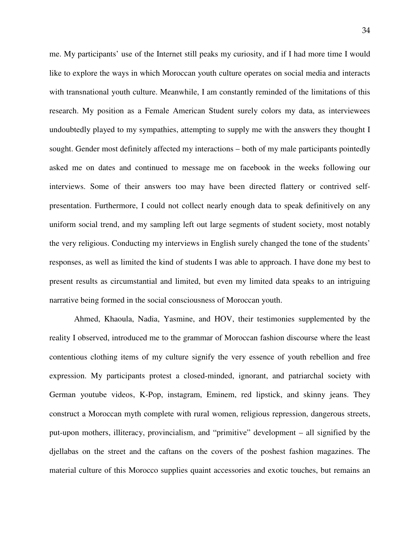me. My participants' use of the Internet still peaks my curiosity, and if I had more time I would like to explore the ways in which Moroccan youth culture operates on social media and interacts with transnational youth culture. Meanwhile, I am constantly reminded of the limitations of this research. My position as a Female American Student surely colors my data, as interviewees undoubtedly played to my sympathies, attempting to supply me with the answers they thought I sought. Gender most definitely affected my interactions – both of my male participants pointedly asked me on dates and continued to message me on facebook in the weeks following our interviews. Some of their answers too may have been directed flattery or contrived selfpresentation. Furthermore, I could not collect nearly enough data to speak definitively on any uniform social trend, and my sampling left out large segments of student society, most notably the very religious. Conducting my interviews in English surely changed the tone of the students' responses, as well as limited the kind of students I was able to approach. I have done my best to present results as circumstantial and limited, but even my limited data speaks to an intriguing narrative being formed in the social consciousness of Moroccan youth.

 Ahmed, Khaoula, Nadia, Yasmine, and HOV, their testimonies supplemented by the reality I observed, introduced me to the grammar of Moroccan fashion discourse where the least contentious clothing items of my culture signify the very essence of youth rebellion and free expression. My participants protest a closed-minded, ignorant, and patriarchal society with German youtube videos, K-Pop, instagram, Eminem, red lipstick, and skinny jeans. They construct a Moroccan myth complete with rural women, religious repression, dangerous streets, put-upon mothers, illiteracy, provincialism, and "primitive" development – all signified by the djellabas on the street and the caftans on the covers of the poshest fashion magazines. The material culture of this Morocco supplies quaint accessories and exotic touches, but remains an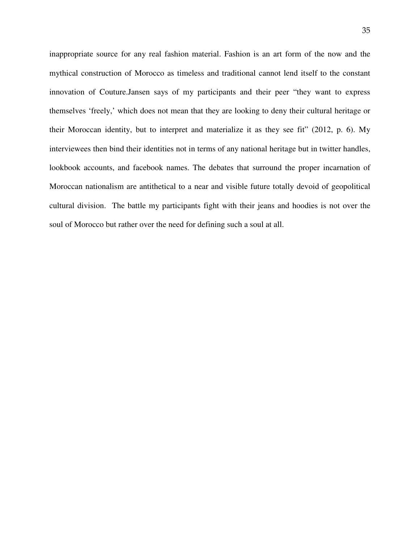inappropriate source for any real fashion material. Fashion is an art form of the now and the mythical construction of Morocco as timeless and traditional cannot lend itself to the constant innovation of Couture.Jansen says of my participants and their peer "they want to express themselves 'freely,' which does not mean that they are looking to deny their cultural heritage or their Moroccan identity, but to interpret and materialize it as they see fit" (2012, p. 6). My interviewees then bind their identities not in terms of any national heritage but in twitter handles, lookbook accounts, and facebook names. The debates that surround the proper incarnation of Moroccan nationalism are antithetical to a near and visible future totally devoid of geopolitical cultural division. The battle my participants fight with their jeans and hoodies is not over the soul of Morocco but rather over the need for defining such a soul at all.